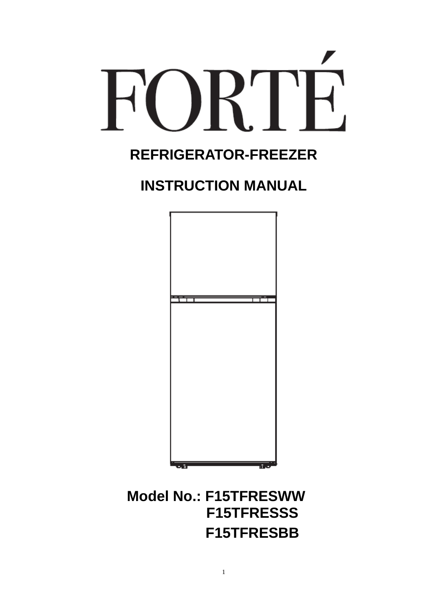# R'I F  $\Box$

## **REFRIGERATOR-FREEZER**

## **INSTRUCTION MANUAL**



## **Model No.: F15TFRESWW F15TFRESSS F15TFRESBB**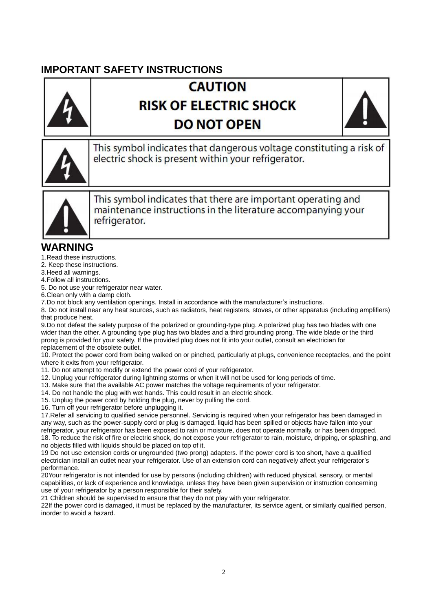### **IMPORTANT SAFETY INSTRUCTIONS**

## **CAUTION RISK OF ELECTRIC SHOCK DO NOT OPEN**





This symbol indicates that dangerous voltage constituting a risk of electric shock is present within your refrigerator.



This symbol indicates that there are important operating and maintenance instructions in the literature accompanying your refrigerator.

#### **WARNING**

1.Read these instructions.

2. Keep these instructions.

3.Heed all warnings.

4.Follow all instructions.

5. Do not use your refrigerator near water.

6.Clean only with a damp cloth.

7.Do not block any ventilation openings. Install in accordance with the manufacturer's instructions.

8. Do not install near any heat sources, such as radiators, heat registers, stoves, or other apparatus (including amplifiers) that produce heat.

9.Do not defeat the safety purpose of the polarized or grounding-type plug. A polarized plug has two blades with one wider than the other. A grounding type plug has two blades and a third grounding prong. The wide blade or the third prong is provided for your safety. If the provided plug does not fit into your outlet, consult an electrician for replacement of the obsolete outlet.

10. Protect the power cord from being walked on or pinched, particularly at plugs, convenience receptacles, and the point where it exits from your refrigerator.

11. Do not attempt to modify or extend the power cord of your refrigerator.

12. Unplug your refrigerator during lightning storms or when it will not be used for long periods of time.

13. Make sure that the available AC power matches the voltage requirements of your refrigerator.

14. Do not handle the plug with wet hands. This could result in an electric shock.

15. Unplug the power cord by holding the plug, never by pulling the cord.

16. Turn off your refrigerator before unplugging it.

17.Refer all servicing to qualified service personnel. Servicing is required when your refrigerator has been damaged in any way, such as the power-supply cord or plug is damaged, liquid has been spilled or objects have fallen into your refrigerator, your refrigerator has been exposed to rain or moisture, does not operate normally, or has been dropped. 18. To reduce the risk of fire or electric shock, do not expose your refrigerator to rain, moisture, dripping, or splashing, and no objects filled with liquids should be placed on top of it.

19 Do not use extension cords or ungrounded (two prong) adapters. If the power cord is too short, have a qualified electrician install an outlet near your refrigerator. Use of an extension cord can negatively affect your refrigerator's performance.

20Your refrigerator is not intended for use by persons (including children) with reduced physical, sensory, or mental capabilities, or lack of experience and knowledge, unless they have been given supervision or instruction concerning use of your refrigerator by a person responsible for their safety.

21 Children should be supervised to ensure that they do not play with your refrigerator.

22If the power cord is damaged, it must be replaced by the manufacturer, its service agent, or similarly qualified person, inorder to avoid a hazard.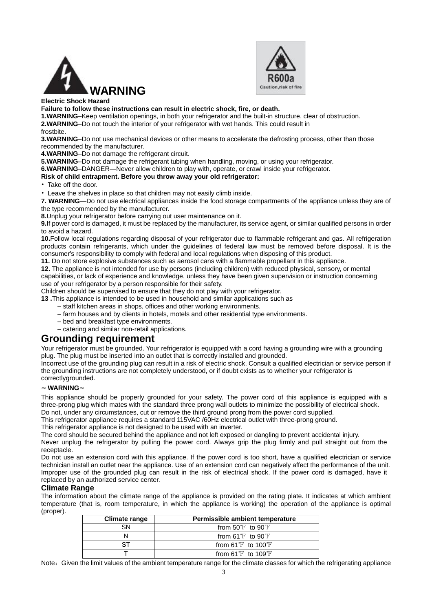



#### **Electric Shock Hazard**

**Failure to follow these instructions can result in electric shock, fire, or death.** 

**1.WARNING**–Keep ventilation openings, in both your refrigerator and the built-in structure, clear of obstruction. **2.WARNING**–Do not touch the interior of your refrigerator with wet hands. This could result in

#### frostbite.

**3.WARNING**–Do not use mechanical devices or other means to accelerate the defrosting process, other than those recommended by the manufacturer.

**4.WARNING**–Do not damage the refrigerant circuit.

**5.WARNING**–Do not damage the refrigerant tubing when handling, moving, or using your refrigerator.

**6.WARNING**–DANGER—Never allow children to play with, operate, or crawl inside your refrigerator.

**Risk of child entrapment. Before you throw away your old refrigerator:** 

• Take off the door.

• Leave the shelves in place so that children may not easily climb inside.

**7. WARNING**—Do not use electrical appliances inside the food storage compartments of the appliance unless they are of the type recommended by the manufacturer.

**8.**Unplug your refrigerator before carrying out user maintenance on it.

**9.**If power cord is damaged, it must be replaced by the manufacturer, its service agent, or similar qualified persons in order to avoid a hazard.

**10.**Follow local regulations regarding disposal of your refrigerator due to flammable refrigerant and gas. All refrigeration products contain refrigerants, which under the guidelines of federal law must be removed before disposal. It is the consumer's responsibility to comply with federal and local regulations when disposing of this product.

**11.** Do not store explosive substances such as aerosol cans with a flammable propellant in this appliance.

**12.** The appliance is not intended for use by persons (including children) with reduced physical, sensory, or mental capabilities, or lack of experience and knowledge, unless they have been given supervision or instruction concerning use of your refrigerator by a person responsible for their safety.

Children should be supervised to ensure that they do not play with your refrigerator.

**13 .**This appliance is intended to be used in household and similar applications such as

– staff kitchen areas in shops, offices and other working environments.

- farm houses and by clients in hotels, motels and other residential type environments.
- bed and breakfast type environments.
- catering and similar non-retail applications.

#### **Grounding requirement**

Your refrigerator must be grounded. Your refrigerator is equipped with a cord having a grounding wire with a grounding plug. The plug must be inserted into an outlet that is correctly installed and grounded.

Incorrect use of the grounding plug can result in a risk of electric shock. Consult a qualified electrician or service person if the grounding instructions are not completely understood, or if doubt exists as to whether your refrigerator is correctlygrounded.

#### **~WARNING~**

This appliance should be properly grounded for your safety. The power cord of this appliance is equipped with a three-prong plug which mates with the standard three prong wall outlets to minimize the possibility of electrical shock. Do not, under any circumstances, cut or remove the third ground prong from the power cord supplied.

This refrigerator appliance requires a standard 115VAC /60Hz electrical outlet with three-prong ground.

This refrigerator appliance is not designed to be used with an inverter.

The cord should be secured behind the appliance and not left exposed or dangling to prevent accidental injury.

Never unplug the refrigerator by pulling the power cord. Always grip the plug firmly and pull straight out from the receptacle.

Do not use an extension cord with this appliance. If the power cord is too short, have a qualified electrician or service technician install an outlet near the appliance. Use of an extension cord can negatively affect the performance of the unit. Improper use of the grounded plug can result in the risk of electrical shock. If the power cord is damaged, have it replaced by an authorized service center.

#### **Climate Range**

The information about the climate range of the appliance is provided on the rating plate. It indicates at which ambient temperature (that is, room temperature, in which the appliance is working) the operation of the appliance is optimal (proper).

| Climate range | Permissible ambient temperature      |
|---------------|--------------------------------------|
| SN.           | from $50^{\circ}$ to $90^{\circ}$ F  |
|               | from $61^{\circ}$ to $90^{\circ}$ F  |
| ST.           | from $61^{\circ}$ to $100^{\circ}$ F |
|               | from $61^{\circ}$ to $109^{\circ}$ F |

Note: Given the limit values of the ambient temperature range for the climate classes for which the refrigerating appliance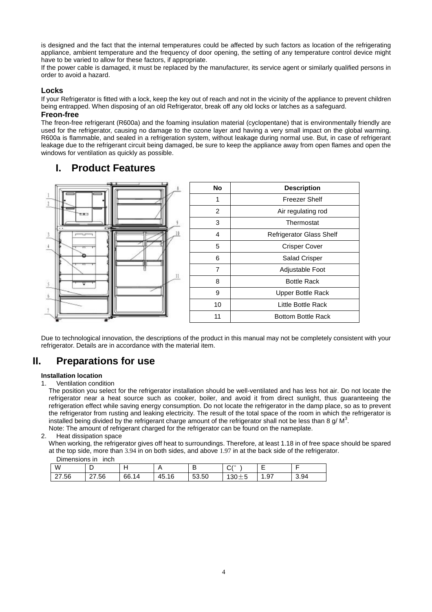is designed and the fact that the internal temperatures could be affected by such factors as location of the refrigerating appliance, ambient temperature and the frequency of door opening, the setting of any temperature control device might have to be varied to allow for these factors, if appropriate.

If the power cable is damaged, it must be replaced by the manufacturer, its service agent or similarly qualified persons in order to avoid a hazard.

#### **Locks**

If your Refrigerator is fitted with a lock, keep the key out of reach and not in the vicinity of the appliance to prevent children being entrapped. When disposing of an old Refrigerator, break off any old locks or latches as a safeguard.

#### **Freon-free**

The freon-free refrigerant (R600a) and the foaming insulation material (cyclopentane) that is environmentally friendly are used for the refrigerator, causing no damage to the ozone layer and having a very small impact on the global warming. R600a is flammable, and sealed in a refrigeration system, without leakage during normal use. But, in case of refrigerant leakage due to the refrigerant circuit being damaged, be sure to keep the appliance away from open flames and open the windows for ventilation as quickly as possible.

#### **I. Product Features**



| No | <b>Description</b>              |  |
|----|---------------------------------|--|
| 1  | Freezer Shelf                   |  |
| 2  | Air regulating rod              |  |
| 3  | Thermostat                      |  |
| 4  | <b>Refrigerator Glass Shelf</b> |  |
| 5  | <b>Crisper Cover</b>            |  |
| 6  | <b>Salad Crisper</b>            |  |
| 7  | Adjustable Foot                 |  |
| 8  | <b>Bottle Rack</b>              |  |
| 9  | Upper Bottle Rack               |  |
| 10 | Little Bottle Rack              |  |
| 11 | <b>Bottom Bottle Rack</b>       |  |

Due to technological innovation, the descriptions of the product in this manual may not be completely consistent with your refrigerator. Details are in accordance with the material item.

#### **II. Preparations for use**

#### **Installation location**

1. Ventilation condition

The position you select for the refrigerator installation should be well-ventilated and has less hot air. Do not locate the refrigerator near a heat source such as cooker, boiler, and avoid it from direct sunlight, thus guaranteeing the refrigeration effect while saving energy consumption. Do not locate the refrigerator in the damp place, so as to prevent the refrigerator from rusting and leaking electricity. The result of the total space of the room in which the refrigerator is installed being divided by the refrigerant charge amount of the refrigerator shall not be less than 8 g/ M<sup>3</sup>. Note: The amount of refrigerant charged for the refrigerator can be found on the nameplate.

#### 2. Heat dissipation space

When working, the refrigerator gives off heat to surroundings. Therefore, at least 1.18 in of free space should be spared at the top side, more than 3.94 in on both sides, and above 1.97 in at the back side of the refrigerator.

| Dimensions in inch |  |  |
|--------------------|--|--|
|                    |  |  |
|                    |  |  |

| W                               | -<br>◡        |       |       | −<br>-<br>◡ | $\sim$ 10<br>'ب              | -    |      |
|---------------------------------|---------------|-------|-------|-------------|------------------------------|------|------|
| $^{\circ}$ .56<br>$\sim$<br>، ے | .56<br>$\sim$ | 66.14 | 45.16 | 53.50       | -<br>$\sqrt{2}$<br>⊥ ∪ט<br>ں | 1.97 | 3.94 |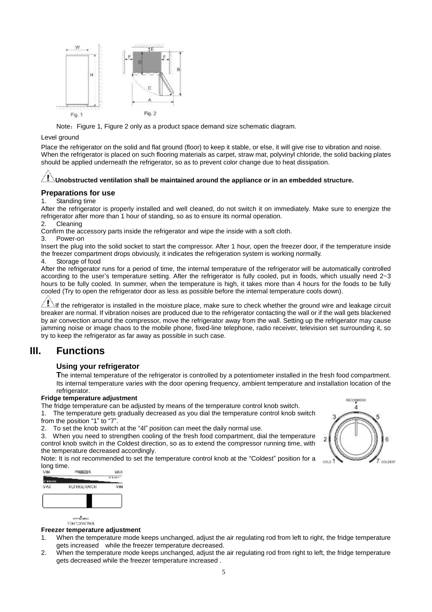

Note: Figure 1, Figure 2 only as a product space demand size schematic diagram.

#### Level ground

Place the refrigerator on the solid and flat ground (floor) to keep it stable, or else, it will give rise to vibration and noise. When the refrigerator is placed on such flooring materials as carpet, straw mat, polyvinyl chloride, the solid backing plates should be applied underneath the refrigerator, so as to prevent color change due to heat dissipation.

#### $\langle \mathrm{I} \rangle$ **Unobstructed ventilation shall be maintained around the appliance or in an embedded structure.**

#### **Preparations for use**

1. Standing time

After the refrigerator is properly installed and well cleaned, do not switch it on immediately. Make sure to energize the refrigerator after more than 1 hour of standing, so as to ensure its normal operation.

#### 2. Cleaning

Confirm the accessory parts inside the refrigerator and wipe the inside with a soft cloth.

3. Power-on

Insert the plug into the solid socket to start the compressor. After 1 hour, open the freezer door, if the temperature inside the freezer compartment drops obviously, it indicates the refrigeration system is working normally.

4. Storage of food

After the refrigerator runs for a period of time, the internal temperature of the refrigerator will be automatically controlled according to the user's temperature setting. After the refrigerator is fully cooled, put in foods, which usually need 2~3 hours to be fully cooled. In summer, when the temperature is high, it takes more than 4 hours for the foods to be fully cooled (Try to open the refrigerator door as less as possible before the internal temperature cools down).

 $\Box$ If the refrigerator is installed in the moisture place, make sure to check whether the ground wire and leakage circuit breaker are normal. If vibration noises are produced due to the refrigerator contacting the wall or if the wall gets blackened by air convection around the compressor, move the refrigerator away from the wall. Setting up the refrigerator may cause jamming noise or image chaos to the mobile phone, fixed-line telephone, radio receiver, television set surrounding it, so try to keep the refrigerator as far away as possible in such case.

#### **III. Functions**

#### **Using your refrigerator**

**T**he internal temperature of the refrigerator is controlled by a potentiometer installed in the fresh food compartment. Its internal temperature varies with the door opening frequency, ambient temperature and installation location of the refrigerator.

#### **Fridge temperature adjustment**

The fridge temperature can be adjusted by means of the temperature control knob switch. 1. The temperature gets gradually decreased as you dial the temperature control knob switch from the position "1" to "7".

2. To set the knob switch at the "4l" position can meet the daily normal use.

3. When you need to strengthen cooling of the fresh food compartment, dial the temperature control knob switch in the Coldest direction, so as to extend the compressor running time, with the temperature decreased accordingly.

Note: It is not recommended to set the temperature control knob at the "Coldest" position for a long time.



aron<sup>a</sup>smas TEMPOONTROL

#### **Freezer temperature adjustment**

- 1. When the temperature mode keeps unchanged, adjust the air regulating rod from left to right, the fridge temperature gets increased while the freezer temperature decreased.
- 2. When the temperature mode keeps unchanged, adjust the air regulating rod from right to left, the fridge temperature gets decreased while the freezer temperature increased .

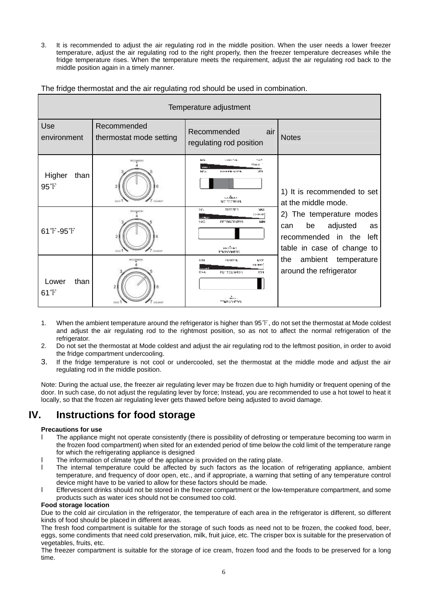3. It is recommended to adjust the air regulating rod in the middle position. When the user needs a lower freezer temperature, adjust the air regulating rod to the right properly, then the freezer temperature decreases while the fridge temperature rises. When the temperature meets the requirement, adjust the air regulating rod back to the middle position again in a timely manner.

The fridge thermostat and the air regulating rod should be used in combination.

| Temperature adjustment           |                                        |                                                                                                                     |                                                                                                                  |
|----------------------------------|----------------------------------------|---------------------------------------------------------------------------------------------------------------------|------------------------------------------------------------------------------------------------------------------|
| Use<br>environment               | Recommended<br>thermostat mode setting | Recommended<br>air<br>regulating rod position                                                                       | <b>Notes</b>                                                                                                     |
| Higher<br>than<br>$95^{\circ}$ F | COLEGET                                | нк<br>767<br>in white Air by<br>COLOR<br>mm.<br>HAS.<br><b>EFFERENCIER</b><br>ЫΝ<br>استثمار<br><b>EMPROVIMAN</b>    | 1) It is recommended to set<br>at the middle mode.                                                               |
| 61°F-95°F                        | COLORED                                | <b>FREEZER</b><br>915<br><b>MAX</b><br>10-19-11<br>99%<br><b>BETRIGERATOR</b><br><b>NIN</b><br>matura<br>TEMPOONERS | 2) The temperature modes<br>adjusted<br>be<br>can<br>as<br>recommended in the left<br>table in case of change to |
| than<br>Lower<br>$61^{\circ}$ F  | 2<br>CDLD<br>DOL: DERT                 | MAX.<br>MN<br>经济应用<br>oa arri<br>関本族<br>PETRODATOR<br>ETN.                                                          | the<br>ambient temperature<br>around the refrigerator                                                            |

- 1. When the ambient temperature around the refrigerator is higher than 95℉, do not set the thermostat at Mode coldest and adjust the air regulating rod to the rightmost position, so as not to affect the normal refrigeration of the refrigerator.
- 2. Do not set the thermostat at Mode coldest and adjust the air regulating rod to the leftmost position, in order to avoid the fridge compartment undercooling.
- 3. If the fridge temperature is not cool or undercooled, set the thermostat at the middle mode and adjust the air regulating rod in the middle position.

Note: During the actual use, the freezer air regulating lever may be frozen due to high humidity or frequent opening of the door. In such case, do not adjust the regulating lever by force; Instead, you are recommended to use a hot towel to heat it locally, so that the frozen air regulating lever gets thawed before being adjusted to avoid damage.

#### **IV. Instructions for food storage**

#### **Precautions for use**

- The appliance might not operate consistently (there is possibility of defrosting or temperature becoming too warm in the frozen food compartment) when sited for an extended period of time below the cold limit of the temperature range for which the refrigerating appliance is designed
- l The information of climate type of the appliance is provided on the rating plate.
- The internal temperature could be affected by such factors as the location of refrigerating appliance, ambient temperature, and frequency of door open, etc., and if appropriate, a warning that setting of any temperature control device might have to be varied to allow for these factors should be made.
- l Effervescent drinks should not be stored in the freezer compartment or the low-temperature compartment, and some products such as water ices should not be consumed too cold.

#### **Food storage location**

Due to the cold air circulation in the refrigerator, the temperature of each area in the refrigerator is different, so different kinds of food should be placed in different areas.

The fresh food compartment is suitable for the storage of such foods as need not to be frozen, the cooked food, beer, eggs, some condiments that need cold preservation, milk, fruit juice, etc. The crisper box is suitable for the preservation of vegetables, fruits, etc.

The freezer compartment is suitable for the storage of ice cream, frozen food and the foods to be preserved for a long time.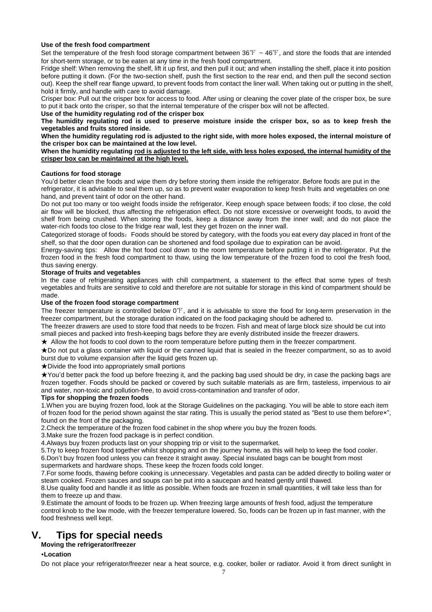#### **Use of the fresh food compartment**

Set the temperature of the fresh food storage compartment between  $36\text{F} \sim 46\text{F}$ , and store the foods that are intended for short-term storage, or to be eaten at any time in the fresh food compartment.

Fridge shelf: When removing the shelf, lift it up first, and then pull it out; and when installing the shelf, place it into position before putting it down. (For the two-section shelf, push the first section to the rear end, and then pull the second section out). Keep the shelf rear flange upward, to prevent foods from contact the liner wall. When taking out or putting in the shelf, hold it firmly, and handle with care to avoid damage.

Crisper box: Pull out the crisper box for access to food. After using or cleaning the cover plate of the crisper box, be sure to put it back onto the crisper, so that the internal temperature of the crisper box will not be affected.

#### **Use of the humidity regulating rod of the crisper box**

The humidity regulating rod is used to preserve moisture inside the crisper box, so as to keep fresh the **vegetables and fruits stored inside.** 

When the humidity regulating rod is adjusted to the right side, with more holes exposed, the internal moisture of **the crisper box can be maintained at the low level.** 

#### **When the humidity regulating rod is adjusted to the left side, with less holes exposed, the internal humidity of the crisper box can be maintained at the high level.**

#### **Cautions for food storage**

You'd better clean the foods and wipe them dry before storing them inside the refrigerator. Before foods are put in the refrigerator, it is advisable to seal them up, so as to prevent water evaporation to keep fresh fruits and vegetables on one hand, and prevent taint of odor on the other hand.

Do not put too many or too weight foods inside the refrigerator. Keep enough space between foods; if too close, the cold air flow will be blocked, thus affecting the refrigeration effect. Do not store excessive or overweight foods, to avoid the shelf from being crushed. When storing the foods, keep a distance away from the inner wall; and do not place the water-rich foods too close to the fridge rear wall, lest they get frozen on the inner wall.

Categorized storage of foods: Foods should be stored by category, with the foods you eat every day placed in front of the shelf, so that the door open duration can be shortened and food spoilage due to expiration can be avoid.

Energy-saving tips: Allow the hot food cool down to the room temperature before putting it in the refrigerator. Put the frozen food in the fresh food compartment to thaw, using the low temperature of the frozen food to cool the fresh food, thus saving energy.

#### **Storage of fruits and vegetables**

In the case of refrigerating appliances with chill compartment, a statement to the effect that some types of fresh vegetables and fruits are sensitive to cold and therefore are not suitable for storage in this kind of compartment should be made.

#### **Use of the frozen food storage compartment**

The freezer temperature is controlled below 0°F, and it is advisable to store the food for long-term preservation in the freezer compartment, but the storage duration indicated on the food packaging should be adhered to.

The freezer drawers are used to store food that needs to be frozen. Fish and meat of large block size should be cut into small pieces and packed into fresh-keeping bags before they are evenly distributed inside the freezer drawers.

★ Allow the hot foods to cool down to the room temperature before putting them in the freezer compartment.

★Do not put a glass container with liquid or the canned liquid that is sealed in the freezer compartment, so as to avoid burst due to volume expansion after the liquid gets frozen up.

★Divide the food into appropriately small portions

★You'd better pack the food up before freezing it, and the packing bag used should be dry, in case the packing bags are frozen together. Foods should be packed or covered by such suitable materials as are firm, tasteless, impervious to air and water, non-toxic and pollution-free, to avoid cross-contamination and transfer of odor.

#### **Tips for shopping the frozen foods**

1.When you are buying frozen food, look at the Storage Guidelines on the packaging. You will be able to store each item of frozen food for the period shown against the star rating. This is usually the period stated as "Best to use them before×", found on the front of the packaging.

2.Check the temperature of the frozen food cabinet in the shop where you buy the frozen foods.

3.Make sure the frozen food package is in perfect condition.

4.Always buy frozen products last on your shopping trip or visit to the supermarket.

5.Try to keep frozen food together whilst shopping and on the journey home, as this will help to keep the food cooler. 6.Don't buy frozen food unless you can freeze it straight away. Special insulated bags can be bought from most

supermarkets and hardware shops. These keep the frozen foods cold longer.

7.For some foods, thawing before cooking is unnecessary. Vegetables and pasta can be added directly to boiling water or steam cooked. Frozen sauces and soups can be put into a saucepan and heated gently until thawed.

8.Use quality food and handle it as little as possible. When foods are frozen in small quantities, it will take less than for them to freeze up and thaw.

9.Estimate the amount of foods to be frozen up. When freezing large amounts of fresh food, adjust the temperature control knob to the low mode, with the freezer temperature lowered. So, foods can be frozen up in fast manner, with the food freshness well kept.

#### **V. Tips for special needs**

#### **Moving the refrigerator/freezer**

#### •**Location**

Do not place your refrigerator/freezer near a heat source, e.g. cooker, boiler or radiator. Avoid it from direct sunlight in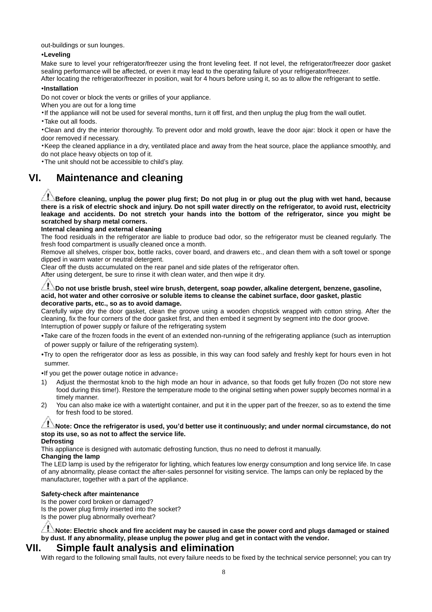out-buildings or sun lounges.

#### •**Leveling**

Make sure to level your refrigerator/freezer using the front leveling feet. If not level, the refrigerator/freezer door gasket sealing performance will be affected, or even it may lead to the operating failure of your refrigerator/freezer.

After locating the refrigerator/freezer in position, wait for 4 hours before using it, so as to allow the refrigerant to settle.

#### **•Installation**

Do not cover or block the vents or grilles of your appliance.

When you are out for a long time

•If the appliance will not be used for several months, turn it off first, and then unplug the plug from the wall outlet.

•Take out all foods.

•Clean and dry the interior thoroughly. To prevent odor and mold growth, leave the door ajar: block it open or have the door removed if necessary.

•Keep the cleaned appliance in a dry, ventilated place and away from the heat source, place the appliance smoothly, and do not place heavy objects on top of it.

•The unit should not be accessible to child's play.

#### **VI. Maintenance and cleaning**

 $\sqrt{1}$ Before cleaning, unplug the power plug first; Do not plug in or plug out the plug with wet hand, because there is a risk of electric shock and injury. Do not spill water directly on the refrigerator, to avoid rust, electricity leakage and accidents. Do not stretch your hands into the bottom of the refrigerator, since you might be **scratched by sharp metal corners.**

#### **Internal cleaning and external cleaning**

The food residuals in the refrigerator are liable to produce bad odor, so the refrigerator must be cleaned regularly. The fresh food compartment is usually cleaned once a month.

Remove all shelves, crisper box, bottle racks, cover board, and drawers etc., and clean them with a soft towel or sponge dipped in warm water or neutral detergent.

Clear off the dusts accumulated on the rear panel and side plates of the refrigerator often.

After using detergent, be sure to rinse it with clean water, and then wipe it dry.

#### **Do not use bristle brush, steel wire brush, detergent, soap powder, alkaline detergent, benzene, gasoline, acid, hot water and other corrosive or soluble items to cleanse the cabinet surface, door gasket, plastic decorative parts, etc., so as to avoid damage.**

Carefully wipe dry the door gasket, clean the groove using a wooden chopstick wrapped with cotton string. After the cleaning, fix the four corners of the door gasket first, and then embed it segment by segment into the door groove. Interruption of power supply or failure of the refrigerating system

•Take care of the frozen foods in the event of an extended non-running of the refrigerating appliance (such as interruption of power supply or failure of the refrigerating system).

•Try to open the refrigerator door as less as possible, in this way can food safely and freshly kept for hours even in hot summer.

•If you get the power outage notice in advance:

- 1) Adjust the thermostat knob to the high mode an hour in advance, so that foods get fully frozen (Do not store new food during this time!). Restore the temperature mode to the original setting when power supply becomes normal in a timely manner.
- 2) You can also make ice with a watertight container, and put it in the upper part of the freezer, so as to extend the time for fresh food to be stored.

#### **Note: Once the refrigerator is used, you'd better use it continuously; and under normal circumstance, do not stop its use, so as not to affect the service life.**

**Defrosting** 

This appliance is designed with automatic defrosting function, thus no need to defrost it manually.

#### **Changing the lamp**

The LED lamp is used by the refrigerator for lighting, which features low energy consumption and long service life. In case of any abnormality, please contact the after-sales personnel for visiting service. The lamps can only be replaced by the manufacturer, together with a part of the appliance.

#### **Safety-check after maintenance**

Is the power cord broken or damaged?

Is the power plug firmly inserted into the socket?

Is the power plug abnormally overheat?

**Note: Electric shock and fire accident may be caused in case the power cord and plugs damaged or stained by dust. If any abnormality, please unplug the power plug and get in contact with the vendor.** 

#### **VII. Simple fault analysis and elimination**

With regard to the following small faults, not every failure needs to be fixed by the technical service personnel; you can try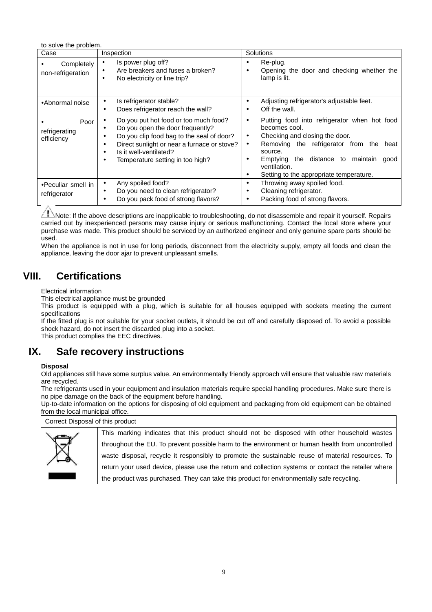to solve the problem.

| Case                                | Inspection                                                                                                                                                                                                                                         | Solutions                                                                                                                                                                                                                                                                               |
|-------------------------------------|----------------------------------------------------------------------------------------------------------------------------------------------------------------------------------------------------------------------------------------------------|-----------------------------------------------------------------------------------------------------------------------------------------------------------------------------------------------------------------------------------------------------------------------------------------|
| Completely<br>non-refrigeration     | Is power plug off?<br>٠<br>Are breakers and fuses a broken?<br>٠<br>No electricity or line trip?<br>٠                                                                                                                                              | Re-plug.<br>Opening the door and checking whether the<br>lamp is lit.                                                                                                                                                                                                                   |
| •Abnormal noise                     | Is refrigerator stable?<br>Does refrigerator reach the wall?<br>٠                                                                                                                                                                                  | Adjusting refrigerator's adjustable feet.<br>Off the wall.<br>٠                                                                                                                                                                                                                         |
| Poor<br>refrigerating<br>efficiency | Do you put hot food or too much food?<br>٠<br>Do you open the door frequently?<br>٠<br>Do you clip food bag to the seal of door?<br>Direct sunlight or near a furnace or stove?<br>Is it well-ventilated?<br>Temperature setting in too high?<br>٠ | Putting food into refrigerator when hot food<br>٠<br>becomes cool.<br>Checking and closing the door.<br>٠<br>Removing the refrigerator from the<br>heat<br>٠<br>source.<br>the distance to maintain<br>Emptying<br>good<br>ventilation.<br>Setting to the appropriate temperature.<br>٠ |
| •Peculiar smell in<br>refrigerator  | Any spoiled food?<br>٠<br>Do you need to clean refrigerator?<br>Do you pack food of strong flavors?                                                                                                                                                | Throwing away spoiled food.<br>٠<br>Cleaning refrigerator.<br>٠<br>Packing food of strong flavors.<br>٠                                                                                                                                                                                 |

 $\triangle$ Note: If the above descriptions are inapplicable to troubleshooting, do not disassemble and repair it yourself. Repairs carried out by inexperienced persons may cause injury or serious malfunctioning. Contact the local store where your purchase was made. This product should be serviced by an authorized engineer and only genuine spare parts should be used.

When the appliance is not in use for long periods, disconnect from the electricity supply, empty all foods and clean the appliance, leaving the door ajar to prevent unpleasant smells.

#### **VIII. Certifications**

Electrical information

This electrical appliance must be grounded

This product is equipped with a plug, which is suitable for all houses equipped with sockets meeting the current specifications

If the fitted plug is not suitable for your socket outlets, it should be cut off and carefully disposed of. To avoid a possible shock hazard, do not insert the discarded plug into a socket.

This product complies the EEC directives.

#### **IX. Safe recovery instructions**

#### **Disposal**

Old appliances still have some surplus value. An environmentally friendly approach will ensure that valuable raw materials are recycled.

The refrigerants used in your equipment and insulation materials require special handling procedures. Make sure there is no pipe damage on the back of the equipment before handling.

Up-to-date information on the options for disposing of old equipment and packaging from old equipment can be obtained from the local municipal office.

| Correct Disposal of this product |                                                                                                     |
|----------------------------------|-----------------------------------------------------------------------------------------------------|
|                                  | This marking indicates that this product should not be disposed with other household wastes         |
| $\bar{\boxtimes}$                | throughout the EU. To prevent possible harm to the environment or human health from uncontrolled    |
|                                  | waste disposal, recycle it responsibly to promote the sustainable reuse of material resources. To   |
|                                  | return your used device, please use the return and collection systems or contact the retailer where |
|                                  | the product was purchased. They can take this product for environmentally safe recycling.           |